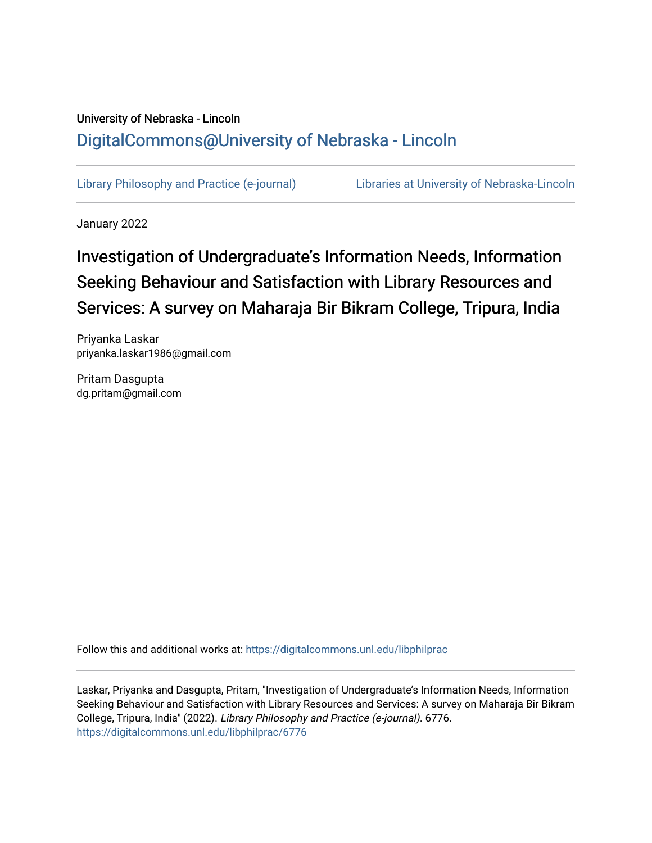# University of Nebraska - Lincoln [DigitalCommons@University of Nebraska - Lincoln](https://digitalcommons.unl.edu/)

[Library Philosophy and Practice \(e-journal\)](https://digitalcommons.unl.edu/libphilprac) [Libraries at University of Nebraska-Lincoln](https://digitalcommons.unl.edu/libraries) 

January 2022

# Investigation of Undergraduate's Information Needs, Information Seeking Behaviour and Satisfaction with Library Resources and Services: A survey on Maharaja Bir Bikram College, Tripura, India

Priyanka Laskar priyanka.laskar1986@gmail.com

Pritam Dasgupta dg.pritam@gmail.com

Follow this and additional works at: [https://digitalcommons.unl.edu/libphilprac](https://digitalcommons.unl.edu/libphilprac?utm_source=digitalcommons.unl.edu%2Flibphilprac%2F6776&utm_medium=PDF&utm_campaign=PDFCoverPages) 

Laskar, Priyanka and Dasgupta, Pritam, "Investigation of Undergraduate's Information Needs, Information Seeking Behaviour and Satisfaction with Library Resources and Services: A survey on Maharaja Bir Bikram College, Tripura, India" (2022). Library Philosophy and Practice (e-journal). 6776. [https://digitalcommons.unl.edu/libphilprac/6776](https://digitalcommons.unl.edu/libphilprac/6776?utm_source=digitalcommons.unl.edu%2Flibphilprac%2F6776&utm_medium=PDF&utm_campaign=PDFCoverPages)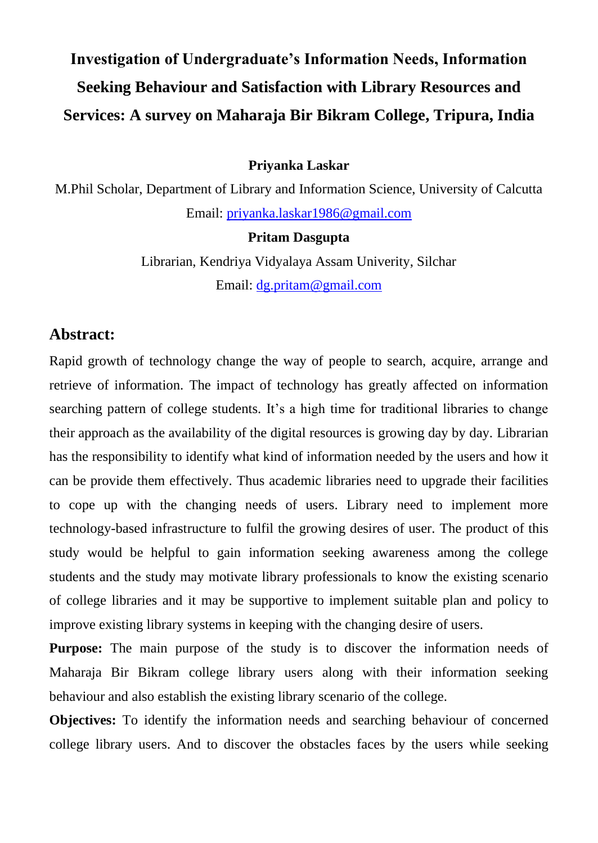# **Investigation of Undergraduate's Information Needs, Information Seeking Behaviour and Satisfaction with Library Resources and Services: A survey on Maharaja Bir Bikram College, Tripura, India**

#### **Priyanka Laskar**

M.Phil Scholar, Department of Library and Information Science, University of Calcutta Email: [priyanka.laskar1986@gmail.com](mailto:priyanka.laskar1986@gmail.com)

#### **Pritam Dasgupta**

Librarian, Kendriya Vidyalaya Assam Univerity, Silchar Email: [dg.pritam@gmail.com](mailto:dg.pritam@gmail.com)

# **Abstract:**

Rapid growth of technology change the way of people to search, acquire, arrange and retrieve of information. The impact of technology has greatly affected on information searching pattern of college students. It's a high time for traditional libraries to change their approach as the availability of the digital resources is growing day by day. Librarian has the responsibility to identify what kind of information needed by the users and how it can be provide them effectively. Thus academic libraries need to upgrade their facilities to cope up with the changing needs of users. Library need to implement more technology-based infrastructure to fulfil the growing desires of user. The product of this study would be helpful to gain information seeking awareness among the college students and the study may motivate library professionals to know the existing scenario of college libraries and it may be supportive to implement suitable plan and policy to improve existing library systems in keeping with the changing desire of users.

**Purpose:** The main purpose of the study is to discover the information needs of Maharaja Bir Bikram college library users along with their information seeking behaviour and also establish the existing library scenario of the college.

**Objectives:** To identify the information needs and searching behaviour of concerned college library users. And to discover the obstacles faces by the users while seeking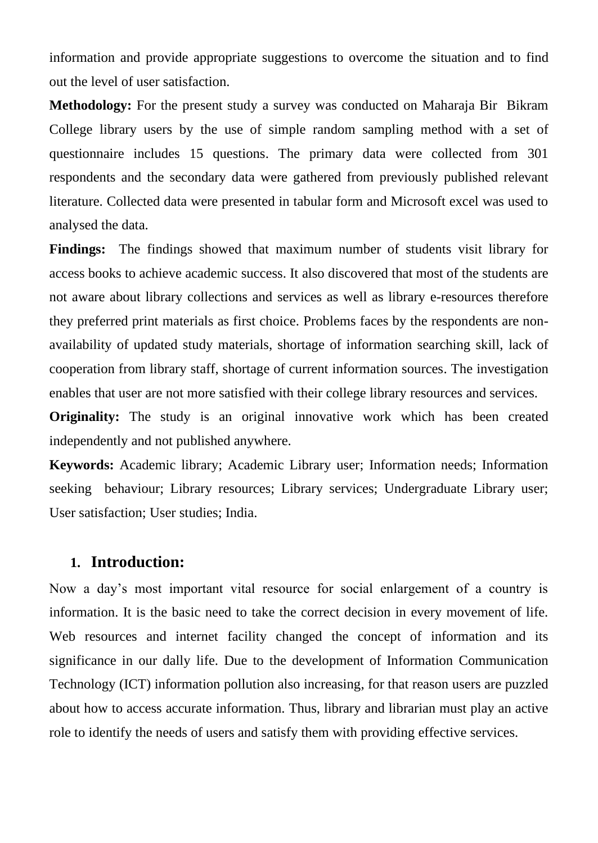information and provide appropriate suggestions to overcome the situation and to find out the level of user satisfaction.

**Methodology:** For the present study a survey was conducted on Maharaja Bir Bikram College library users by the use of simple random sampling method with a set of questionnaire includes 15 questions. The primary data were collected from 301 respondents and the secondary data were gathered from previously published relevant literature. Collected data were presented in tabular form and Microsoft excel was used to analysed the data.

**Findings:** The findings showed that maximum number of students visit library for access books to achieve academic success. It also discovered that most of the students are not aware about library collections and services as well as library e-resources therefore they preferred print materials as first choice. Problems faces by the respondents are nonavailability of updated study materials, shortage of information searching skill, lack of cooperation from library staff, shortage of current information sources. The investigation enables that user are not more satisfied with their college library resources and services.

**Originality:** The study is an original innovative work which has been created independently and not published anywhere.

**Keywords:** Academic library; Academic Library user; Information needs; Information seeking behaviour; Library resources; Library services; Undergraduate Library user; User satisfaction; User studies; India.

# **1. Introduction:**

Now a day's most important vital resource for social enlargement of a country is information. It is the basic need to take the correct decision in every movement of life. Web resources and internet facility changed the concept of information and its significance in our dally life. Due to the development of Information Communication Technology (ICT) information pollution also increasing, for that reason users are puzzled about how to access accurate information. Thus, library and librarian must play an active role to identify the needs of users and satisfy them with providing effective services.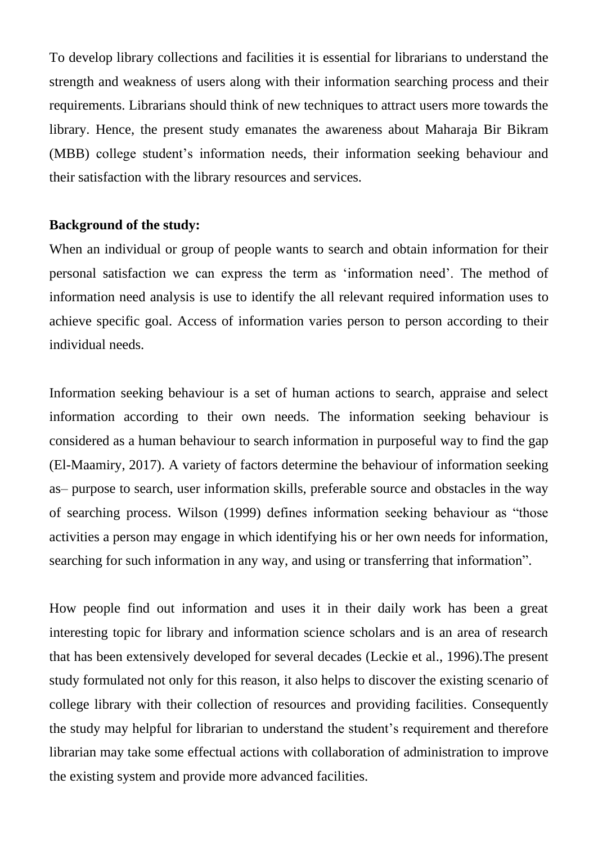To develop library collections and facilities it is essential for librarians to understand the strength and weakness of users along with their information searching process and their requirements. Librarians should think of new techniques to attract users more towards the library. Hence, the present study emanates the awareness about Maharaja Bir Bikram (MBB) college student's information needs, their information seeking behaviour and their satisfaction with the library resources and services.

#### **Background of the study:**

When an individual or group of people wants to search and obtain information for their personal satisfaction we can express the term as 'information need'. The method of information need analysis is use to identify the all relevant required information uses to achieve specific goal. Access of information varies person to person according to their individual needs.

Information seeking behaviour is a set of human actions to search, appraise and select information according to their own needs. The information seeking behaviour is considered as a human behaviour to search information in purposeful way to find the gap (El-Maamiry, 2017). A variety of factors determine the behaviour of information seeking as– purpose to search, user information skills, preferable source and obstacles in the way of searching process. Wilson (1999) defines information seeking behaviour as "those activities a person may engage in which identifying his or her own needs for information, searching for such information in any way, and using or transferring that information".

How people find out information and uses it in their daily work has been a great interesting topic for library and information science scholars and is an area of research that has been extensively developed for several decades (Leckie et al., 1996).The present study formulated not only for this reason, it also helps to discover the existing scenario of college library with their collection of resources and providing facilities. Consequently the study may helpful for librarian to understand the student's requirement and therefore librarian may take some effectual actions with collaboration of administration to improve the existing system and provide more advanced facilities.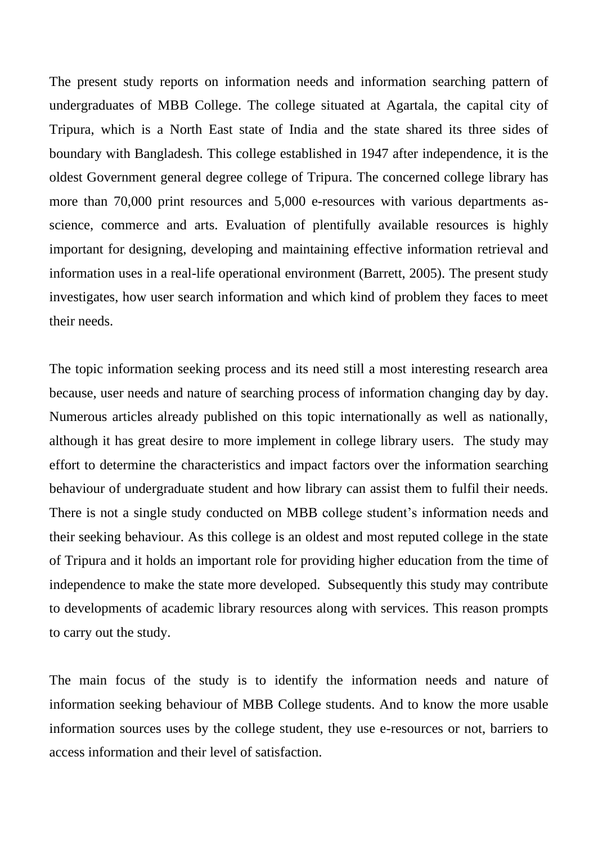The present study reports on information needs and information searching pattern of undergraduates of MBB College. The college situated at Agartala, the capital city of Tripura, which is a North East state of India and the state shared its three sides of boundary with Bangladesh. This college established in 1947 after independence, it is the oldest Government general degree college of Tripura. The concerned college library has more than 70,000 print resources and 5,000 e-resources with various departments asscience, commerce and arts. Evaluation of plentifully available resources is highly important for designing, developing and maintaining effective information retrieval and information uses in a real-life operational environment (Barrett, 2005). The present study investigates, how user search information and which kind of problem they faces to meet their needs.

The topic information seeking process and its need still a most interesting research area because, user needs and nature of searching process of information changing day by day. Numerous articles already published on this topic internationally as well as nationally, although it has great desire to more implement in college library users. The study may effort to determine the characteristics and impact factors over the information searching behaviour of undergraduate student and how library can assist them to fulfil their needs. There is not a single study conducted on MBB college student's information needs and their seeking behaviour. As this college is an oldest and most reputed college in the state of Tripura and it holds an important role for providing higher education from the time of independence to make the state more developed. Subsequently this study may contribute to developments of academic library resources along with services. This reason prompts to carry out the study.

The main focus of the study is to identify the information needs and nature of information seeking behaviour of MBB College students. And to know the more usable information sources uses by the college student, they use e-resources or not, barriers to access information and their level of satisfaction.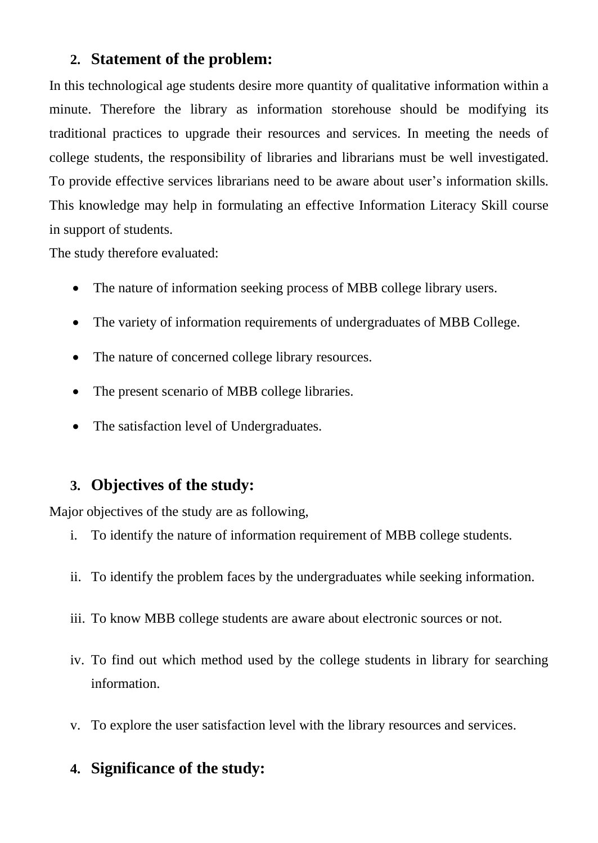# **2. Statement of the problem:**

In this technological age students desire more quantity of qualitative information within a minute. Therefore the library as information storehouse should be modifying its traditional practices to upgrade their resources and services. In meeting the needs of college students, the responsibility of libraries and librarians must be well investigated. To provide effective services librarians need to be aware about user's information skills. This knowledge may help in formulating an effective Information Literacy Skill course in support of students.

The study therefore evaluated:

- The nature of information seeking process of MBB college library users.
- The variety of information requirements of undergraduates of MBB College.
- The nature of concerned college library resources.
- The present scenario of MBB college libraries.
- The satisfaction level of Undergraduates.

# **3. Objectives of the study:**

Major objectives of the study are as following,

- i. To identify the nature of information requirement of MBB college students.
- ii. To identify the problem faces by the undergraduates while seeking information.
- iii. To know MBB college students are aware about electronic sources or not.
- iv. To find out which method used by the college students in library for searching information.
- v. To explore the user satisfaction level with the library resources and services.

# **4. Significance of the study:**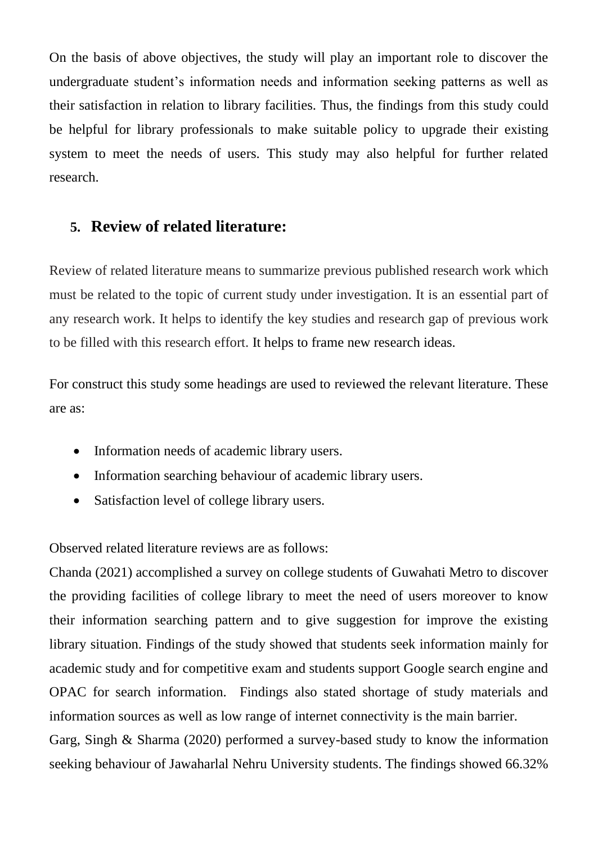On the basis of above objectives, the study will play an important role to discover the undergraduate student's information needs and information seeking patterns as well as their satisfaction in relation to library facilities. Thus, the findings from this study could be helpful for library professionals to make suitable policy to upgrade their existing system to meet the needs of users. This study may also helpful for further related research.

# **5. Review of related literature:**

Review of related literature means to summarize previous published research work which must be related to the topic of current study under investigation. It is an essential part of any research work. It helps to identify the key studies and research gap of previous work to be filled with this research effort. It helps to frame new research ideas.

For construct this study some headings are used to reviewed the relevant literature. These are as:

- Information needs of academic library users.
- Information searching behaviour of academic library users.
- Satisfaction level of college library users.

Observed related literature reviews are as follows:

Chanda (2021) accomplished a survey on college students of Guwahati Metro to discover the providing facilities of college library to meet the need of users moreover to know their information searching pattern and to give suggestion for improve the existing library situation. Findings of the study showed that students seek information mainly for academic study and for competitive exam and students support Google search engine and OPAC for search information. Findings also stated shortage of study materials and information sources as well as low range of internet connectivity is the main barrier. Garg, Singh & Sharma (2020) performed a survey-based study to know the information seeking behaviour of Jawaharlal Nehru University students. The findings showed 66.32%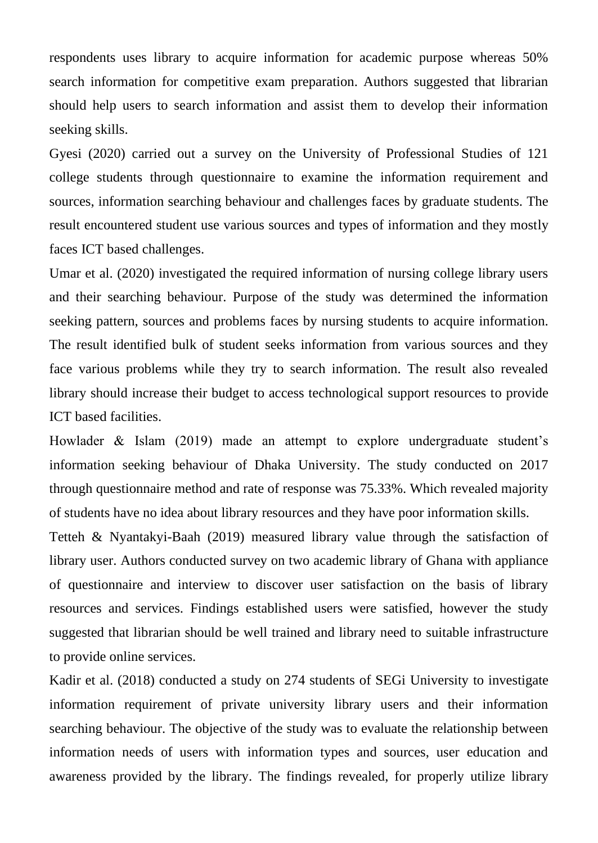respondents uses library to acquire information for academic purpose whereas 50% search information for competitive exam preparation. Authors suggested that librarian should help users to search information and assist them to develop their information seeking skills.

Gyesi (2020) carried out a survey on the University of Professional Studies of 121 college students through questionnaire to examine the information requirement and sources, information searching behaviour and challenges faces by graduate students. The result encountered student use various sources and types of information and they mostly faces ICT based challenges.

Umar et al. (2020) investigated the required information of nursing college library users and their searching behaviour. Purpose of the study was determined the information seeking pattern, sources and problems faces by nursing students to acquire information. The result identified bulk of student seeks information from various sources and they face various problems while they try to search information. The result also revealed library should increase their budget to access technological support resources to provide ICT based facilities.

Howlader & Islam (2019) made an attempt to explore undergraduate student's information seeking behaviour of Dhaka University. The study conducted on 2017 through questionnaire method and rate of response was 75.33%. Which revealed majority of students have no idea about library resources and they have poor information skills.

Tetteh & Nyantakyi-Baah (2019) measured library value through the satisfaction of library user. Authors conducted survey on two academic library of Ghana with appliance of questionnaire and interview to discover user satisfaction on the basis of library resources and services. Findings established users were satisfied, however the study suggested that librarian should be well trained and library need to suitable infrastructure to provide online services.

Kadir et al. (2018) conducted a study on 274 students of SEGi University to investigate information requirement of private university library users and their information searching behaviour. The objective of the study was to evaluate the relationship between information needs of users with information types and sources, user education and awareness provided by the library. The findings revealed, for properly utilize library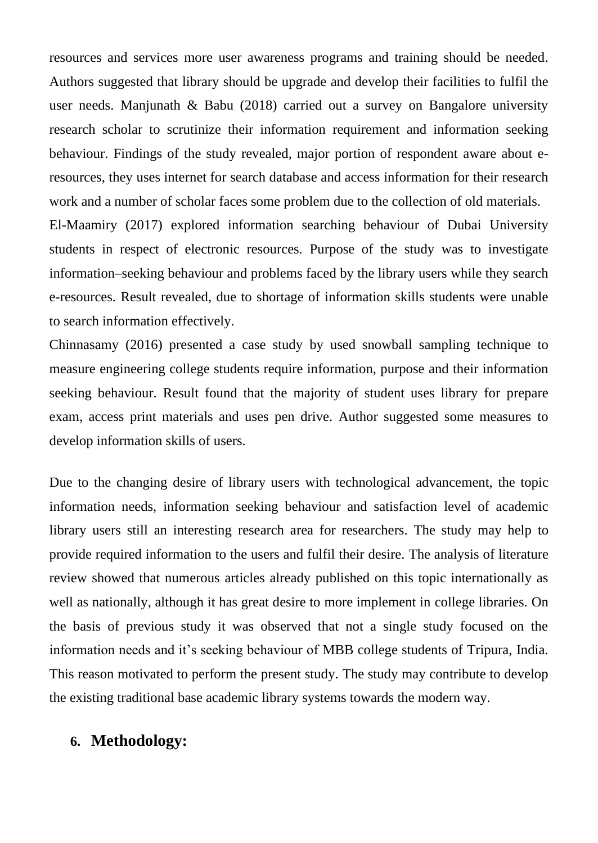resources and services more user awareness programs and training should be needed. Authors suggested that library should be upgrade and develop their facilities to fulfil the user needs. Manjunath  $\&$  Babu (2018) carried out a survey on Bangalore university research scholar to scrutinize their information requirement and information seeking behaviour. Findings of the study revealed, major portion of respondent aware about eresources, they uses internet for search database and access information for their research work and a number of scholar faces some problem due to the collection of old materials. El-Maamiry (2017) explored information searching behaviour of Dubai University students in respect of electronic resources. Purpose of the study was to investigate information–seeking behaviour and problems faced by the library users while they search e-resources. Result revealed, due to shortage of information skills students were unable

Chinnasamy (2016) presented a case study by used snowball sampling technique to measure engineering college students require information, purpose and their information seeking behaviour. Result found that the majority of student uses library for prepare exam, access print materials and uses pen drive. Author suggested some measures to develop information skills of users.

Due to the changing desire of library users with technological advancement, the topic information needs, information seeking behaviour and satisfaction level of academic library users still an interesting research area for researchers. The study may help to provide required information to the users and fulfil their desire. The analysis of literature review showed that numerous articles already published on this topic internationally as well as nationally, although it has great desire to more implement in college libraries. On the basis of previous study it was observed that not a single study focused on the information needs and it's seeking behaviour of MBB college students of Tripura, India. This reason motivated to perform the present study. The study may contribute to develop the existing traditional base academic library systems towards the modern way.

# **6. Methodology:**

to search information effectively.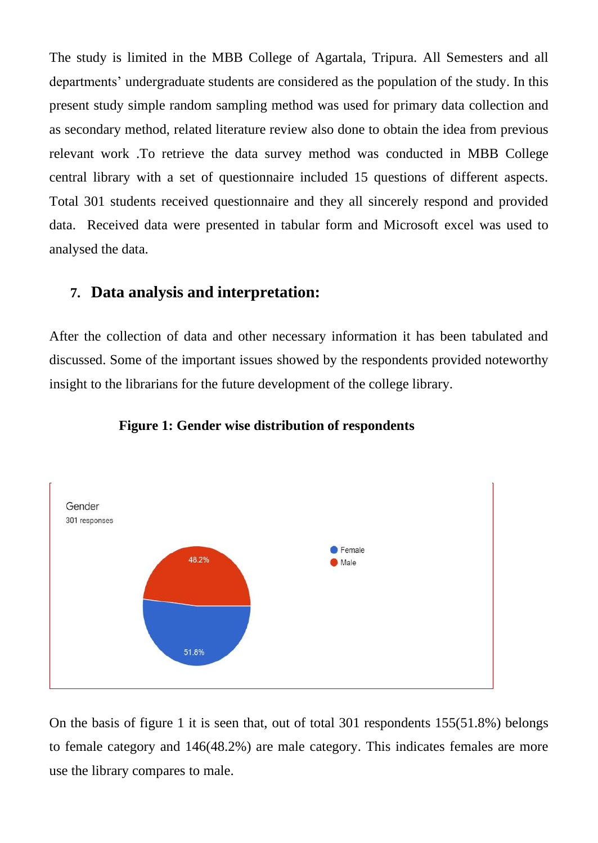The study is limited in the MBB College of Agartala, Tripura. All Semesters and all departments' undergraduate students are considered as the population of the study. In this present study simple random sampling method was used for primary data collection and as secondary method, related literature review also done to obtain the idea from previous relevant work .To retrieve the data survey method was conducted in MBB College central library with a set of questionnaire included 15 questions of different aspects. Total 301 students received questionnaire and they all sincerely respond and provided data. Received data were presented in tabular form and Microsoft excel was used to analysed the data.

## **7. Data analysis and interpretation:**

After the collection of data and other necessary information it has been tabulated and discussed. Some of the important issues showed by the respondents provided noteworthy insight to the librarians for the future development of the college library.



#### **Figure 1: Gender wise distribution of respondents**

On the basis of figure 1 it is seen that, out of total 301 respondents 155(51.8%) belongs to female category and 146(48.2%) are male category. This indicates females are more use the library compares to male.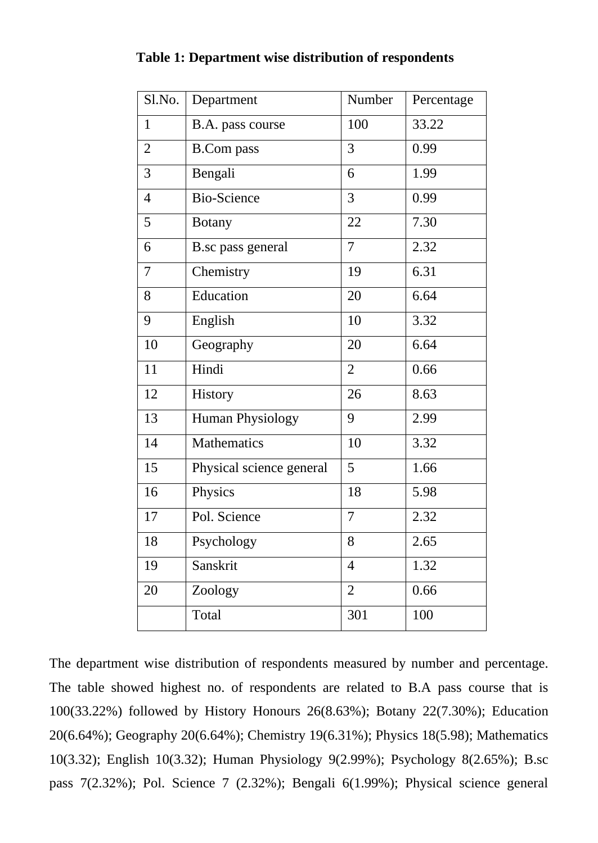| Sl.No.         | Department               | Number         | Percentage |
|----------------|--------------------------|----------------|------------|
| $\mathbf{1}$   | B.A. pass course         | 100            | 33.22      |
| $\overline{2}$ | <b>B.Com</b> pass        | 3              | 0.99       |
| 3              | Bengali                  | 6              | 1.99       |
| $\overline{4}$ | <b>Bio-Science</b>       | 3              | 0.99       |
| 5              | <b>Botany</b>            | 22             | 7.30       |
| 6              | B.sc pass general        | $\overline{7}$ | 2.32       |
| 7              | Chemistry                | 19             | 6.31       |
| 8              | Education                | 20             | 6.64       |
| 9              | English                  | 10             | 3.32       |
| 10             | Geography                | 20             | 6.64       |
| 11             | Hindi                    | $\overline{2}$ | 0.66       |
| 12             | History                  | 26             | 8.63       |
| 13             | Human Physiology         | 9              | 2.99       |
| 14             | Mathematics              | 10             | 3.32       |
| 15             | Physical science general | 5              | 1.66       |
| 16             | Physics                  | 18             | 5.98       |
| 17             | Pol. Science             | $\overline{7}$ | 2.32       |
| 18             | Psychology               | 8              | 2.65       |
| 19             | Sanskrit                 | $\overline{4}$ | 1.32       |
| 20             | Zoology                  | $\overline{2}$ | 0.66       |
|                | Total                    | 301            | 100        |

#### **Table 1: Department wise distribution of respondents**

The department wise distribution of respondents measured by number and percentage. The table showed highest no. of respondents are related to B.A pass course that is 100(33.22%) followed by History Honours 26(8.63%); Botany 22(7.30%); Education 20(6.64%); Geography 20(6.64%); Chemistry 19(6.31%); Physics 18(5.98); Mathematics 10(3.32); English 10(3.32); Human Physiology 9(2.99%); Psychology 8(2.65%); B.sc pass 7(2.32%); Pol. Science 7 (2.32%); Bengali 6(1.99%); Physical science general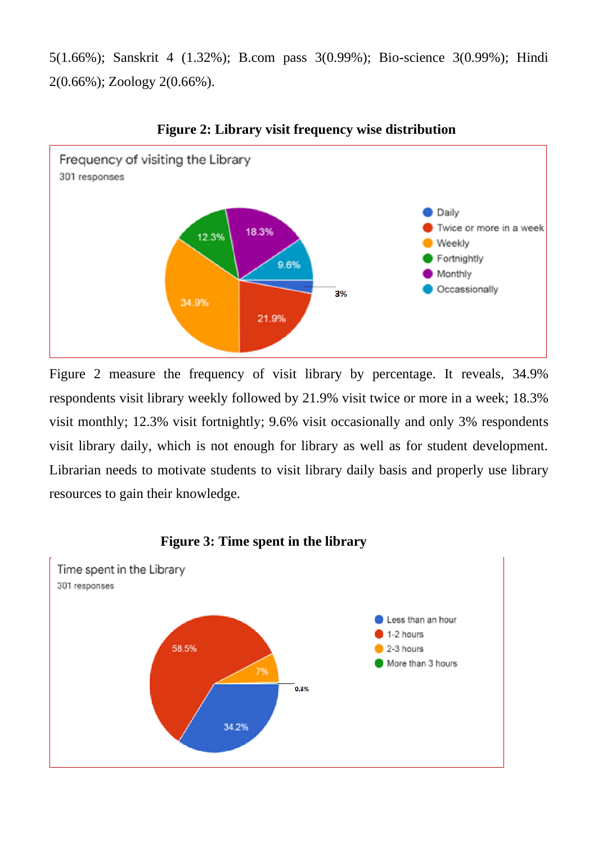5(1.66%); Sanskrit 4 (1.32%); B.com pass 3(0.99%); Bio-science 3(0.99%); Hindi 2(0.66%); Zoology 2(0.66%).



**Figure 2: Library visit frequency wise distribution** 

Figure 2 measure the frequency of visit library by percentage. It reveals, 34.9% respondents visit library weekly followed by 21.9% visit twice or more in a week; 18.3% visit monthly; 12.3% visit fortnightly; 9.6% visit occasionally and only 3% respondents visit library daily, which is not enough for library as well as for student development. Librarian needs to motivate students to visit library daily basis and properly use library resources to gain their knowledge.



#### **Figure 3: Time spent in the library**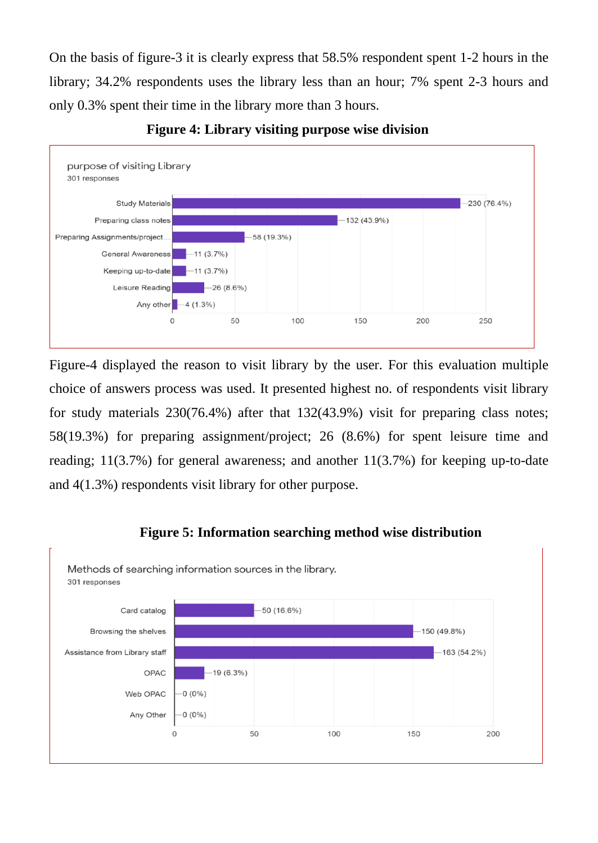On the basis of figure-3 it is clearly express that 58.5% respondent spent 1-2 hours in the library; 34.2% respondents uses the library less than an hour; 7% spent 2-3 hours and only 0.3% spent their time in the library more than 3 hours.



**Figure 4: Library visiting purpose wise division**

Figure-4 displayed the reason to visit library by the user. For this evaluation multiple choice of answers process was used. It presented highest no. of respondents visit library for study materials 230(76.4%) after that 132(43.9%) visit for preparing class notes; 58(19.3%) for preparing assignment/project; 26 (8.6%) for spent leisure time and reading;  $11(3.7%)$  for general awareness; and another  $11(3.7%)$  for keeping up-to-date and 4(1.3%) respondents visit library for other purpose.

## **Figure 5: Information searching method wise distribution**

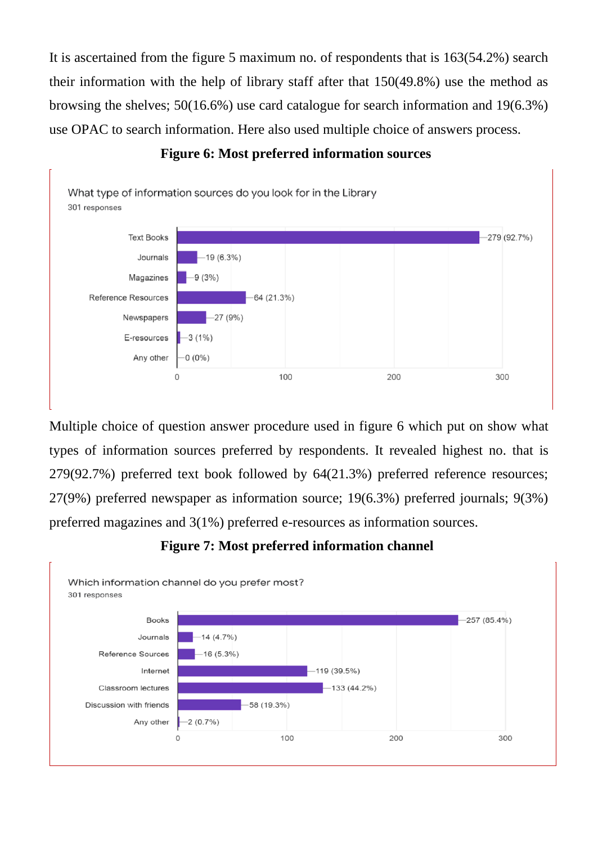It is ascertained from the figure 5 maximum no. of respondents that is 163(54.2%) search their information with the help of library staff after that 150(49.8%) use the method as browsing the shelves; 50(16.6%) use card catalogue for search information and 19(6.3%) use OPAC to search information. Here also used multiple choice of answers process.



#### **Figure 6: Most preferred information sources**

Multiple choice of question answer procedure used in figure 6 which put on show what types of information sources preferred by respondents. It revealed highest no. that is 279(92.7%) preferred text book followed by 64(21.3%) preferred reference resources; 27(9%) preferred newspaper as information source; 19(6.3%) preferred journals; 9(3%) preferred magazines and 3(1%) preferred e-resources as information sources.

# **Figure 7: Most preferred information channel**

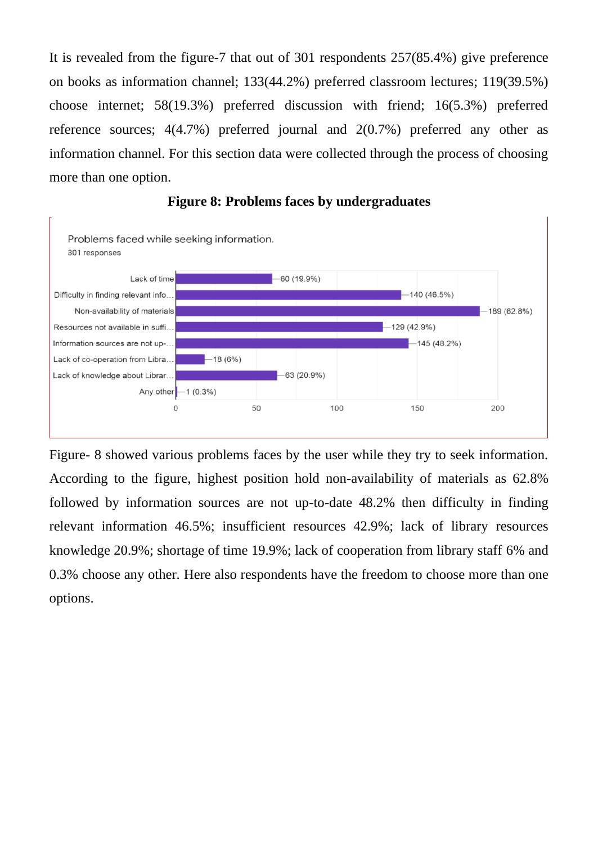It is revealed from the figure-7 that out of 301 respondents 257(85.4%) give preference on books as information channel; 133(44.2%) preferred classroom lectures; 119(39.5%) choose internet; 58(19.3%) preferred discussion with friend; 16(5.3%) preferred reference sources; 4(4.7%) preferred journal and 2(0.7%) preferred any other as information channel. For this section data were collected through the process of choosing more than one option.



#### **Figure 8: Problems faces by undergraduates**

Figure- 8 showed various problems faces by the user while they try to seek information. According to the figure, highest position hold non-availability of materials as 62.8% followed by information sources are not up-to-date 48.2% then difficulty in finding relevant information 46.5%; insufficient resources 42.9%; lack of library resources knowledge 20.9%; shortage of time 19.9%; lack of cooperation from library staff 6% and 0.3% choose any other. Here also respondents have the freedom to choose more than one options.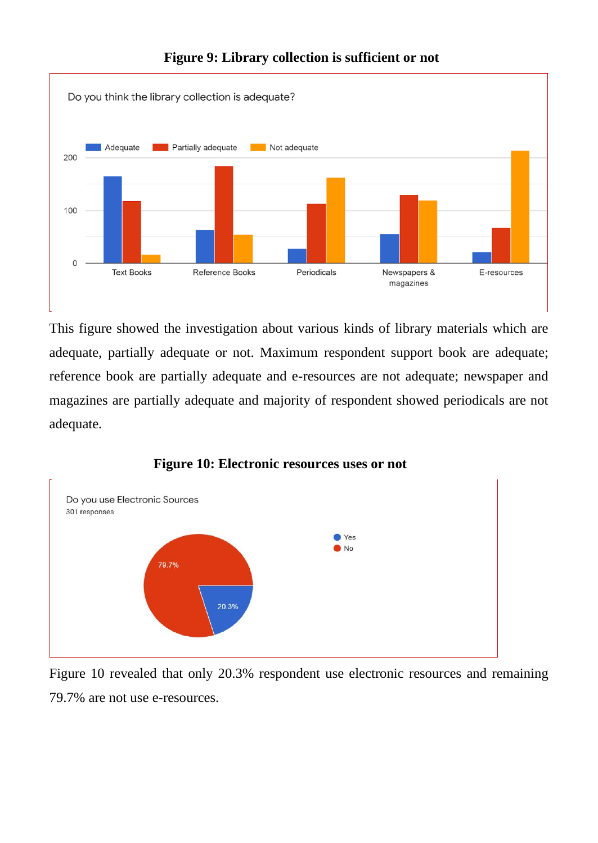

## **Figure 9: Library collection is sufficient or not**

This figure showed the investigation about various kinds of library materials which are adequate, partially adequate or not. Maximum respondent support book are adequate; reference book are partially adequate and e-resources are not adequate; newspaper and magazines are partially adequate and majority of respondent showed periodicals are not adequate.



#### **Figure 10: Electronic resources uses or not**

Figure 10 revealed that only 20.3% respondent use electronic resources and remaining 79.7% are not use e-resources.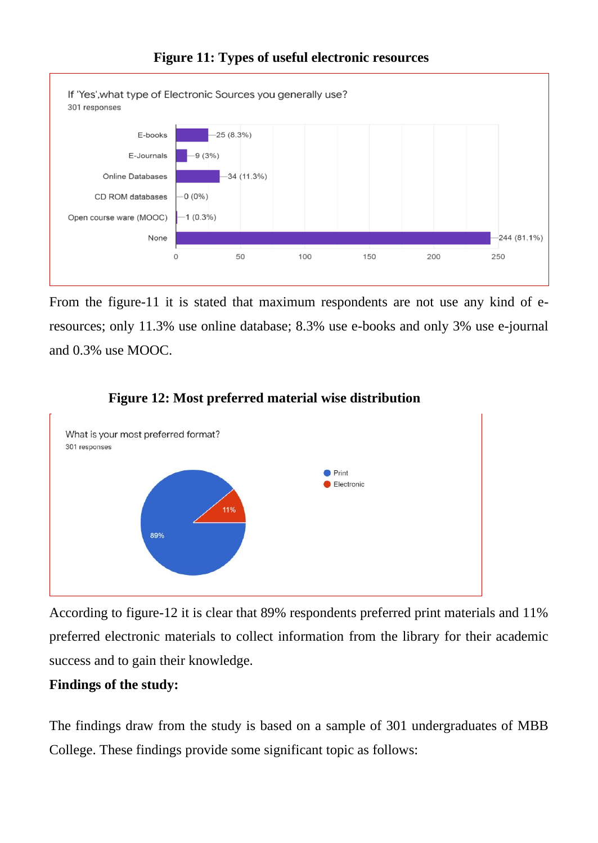

From the figure-11 it is stated that maximum respondents are not use any kind of eresources; only 11.3% use online database; 8.3% use e-books and only 3% use e-journal and 0.3% use MOOC.



## **Figure 12: Most preferred material wise distribution**

According to figure-12 it is clear that 89% respondents preferred print materials and 11% preferred electronic materials to collect information from the library for their academic success and to gain their knowledge.

# **Findings of the study:**

The findings draw from the study is based on a sample of 301 undergraduates of MBB College. These findings provide some significant topic as follows: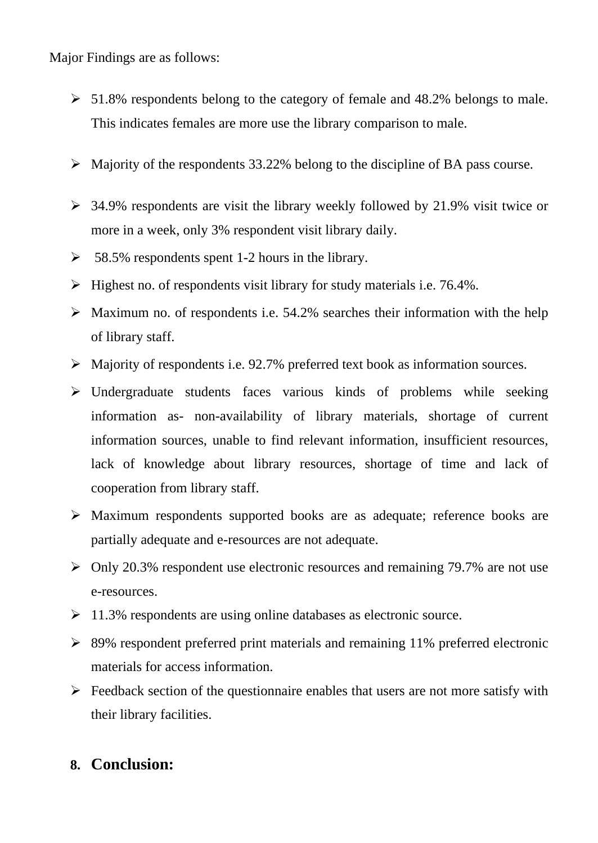Major Findings are as follows:

- $\geq 51.8\%$  respondents belong to the category of female and 48.2% belongs to male. This indicates females are more use the library comparison to male.
- $\triangleright$  Majority of the respondents 33.22% belong to the discipline of BA pass course.
- $\geq$  34.9% respondents are visit the library weekly followed by 21.9% visit twice or more in a week, only 3% respondent visit library daily.
- $\geq$  58.5% respondents spent 1-2 hours in the library.
- ➢ Highest no. of respondents visit library for study materials i.e. 76.4%.
- $\triangleright$  Maximum no. of respondents i.e. 54.2% searches their information with the help of library staff.
- ➢ Majority of respondents i.e. 92.7% preferred text book as information sources.
- ➢ Undergraduate students faces various kinds of problems while seeking information as- non-availability of library materials, shortage of current information sources, unable to find relevant information, insufficient resources, lack of knowledge about library resources, shortage of time and lack of cooperation from library staff.
- ➢ Maximum respondents supported books are as adequate; reference books are partially adequate and e-resources are not adequate.
- ➢ Only 20.3% respondent use electronic resources and remaining 79.7% are not use e-resources.
- ➢ 11.3% respondents are using online databases as electronic source.
- ➢ 89% respondent preferred print materials and remaining 11% preferred electronic materials for access information.
- $\triangleright$  Feedback section of the questionnaire enables that users are not more satisfy with their library facilities.

# **8. Conclusion:**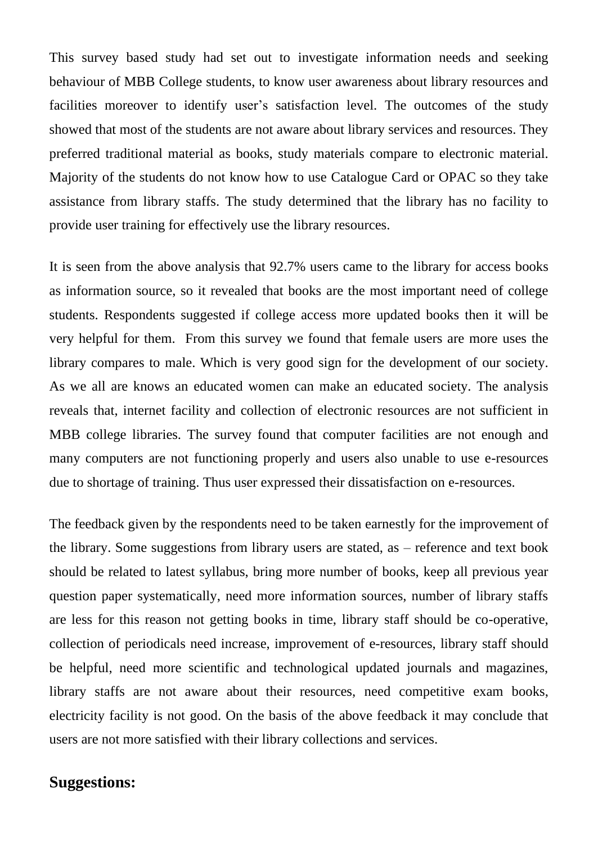This survey based study had set out to investigate information needs and seeking behaviour of MBB College students, to know user awareness about library resources and facilities moreover to identify user's satisfaction level. The outcomes of the study showed that most of the students are not aware about library services and resources. They preferred traditional material as books, study materials compare to electronic material. Majority of the students do not know how to use Catalogue Card or OPAC so they take assistance from library staffs. The study determined that the library has no facility to provide user training for effectively use the library resources.

It is seen from the above analysis that 92.7% users came to the library for access books as information source, so it revealed that books are the most important need of college students. Respondents suggested if college access more updated books then it will be very helpful for them. From this survey we found that female users are more uses the library compares to male. Which is very good sign for the development of our society. As we all are knows an educated women can make an educated society. The analysis reveals that, internet facility and collection of electronic resources are not sufficient in MBB college libraries. The survey found that computer facilities are not enough and many computers are not functioning properly and users also unable to use e-resources due to shortage of training. Thus user expressed their dissatisfaction on e-resources.

The feedback given by the respondents need to be taken earnestly for the improvement of the library. Some suggestions from library users are stated, as – reference and text book should be related to latest syllabus, bring more number of books, keep all previous year question paper systematically, need more information sources, number of library staffs are less for this reason not getting books in time, library staff should be co-operative, collection of periodicals need increase, improvement of e-resources, library staff should be helpful, need more scientific and technological updated journals and magazines, library staffs are not aware about their resources, need competitive exam books, electricity facility is not good. On the basis of the above feedback it may conclude that users are not more satisfied with their library collections and services.

# **Suggestions:**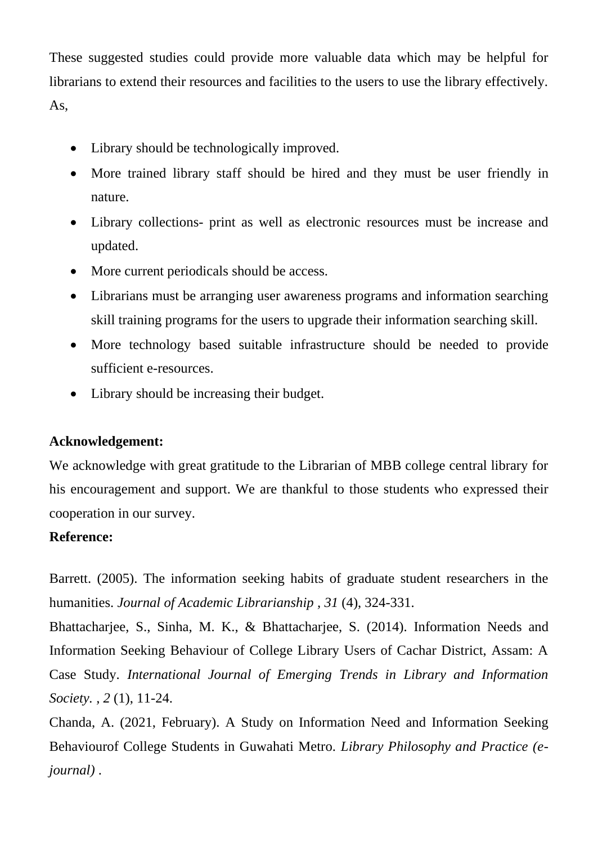These suggested studies could provide more valuable data which may be helpful for librarians to extend their resources and facilities to the users to use the library effectively. As,

- Library should be technologically improved.
- More trained library staff should be hired and they must be user friendly in nature.
- Library collections- print as well as electronic resources must be increase and updated.
- More current periodicals should be access.
- Librarians must be arranging user awareness programs and information searching skill training programs for the users to upgrade their information searching skill.
- More technology based suitable infrastructure should be needed to provide sufficient e-resources.
- Library should be increasing their budget.

# **Acknowledgement:**

We acknowledge with great gratitude to the Librarian of MBB college central library for his encouragement and support. We are thankful to those students who expressed their cooperation in our survey.

## **Reference:**

Barrett. (2005). The information seeking habits of graduate student researchers in the humanities. *Journal of Academic Librarianship , 31* (4), 324-331.

Bhattacharjee, S., Sinha, M. K., & Bhattacharjee, S. (2014). Information Needs and Information Seeking Behaviour of College Library Users of Cachar District, Assam: A Case Study. *International Journal of Emerging Trends in Library and Information Society. , 2* (1), 11-24.

Chanda, A. (2021, February). A Study on Information Need and Information Seeking Behaviourof College Students in Guwahati Metro. *Library Philosophy and Practice (ejournal)* .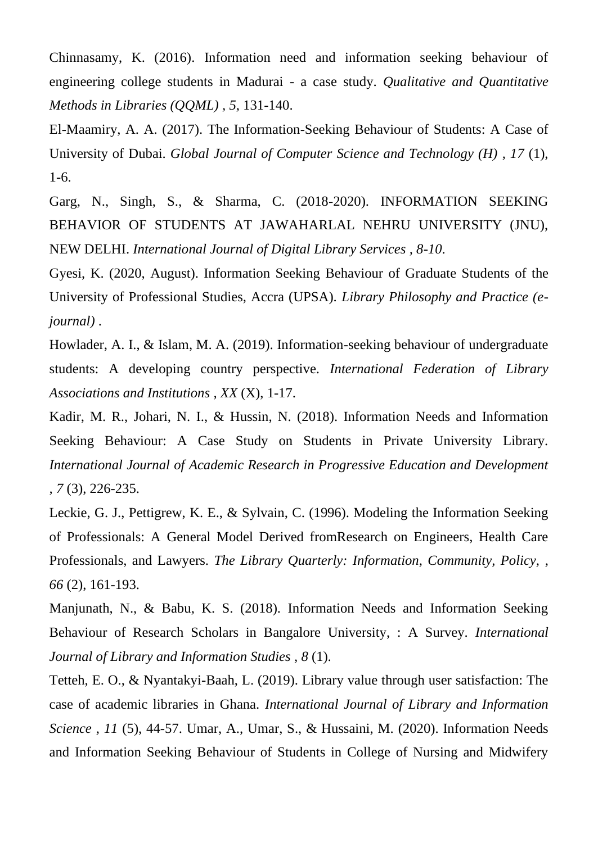Chinnasamy, K. (2016). Information need and information seeking behaviour of engineering college students in Madurai - a case study. *Qualitative and Quantitative Methods in Libraries (QQML) , 5*, 131-140.

El-Maamiry, A. A. (2017). The Information-Seeking Behaviour of Students: A Case of University of Dubai. *Global Journal of Computer Science and Technology (H) , 17* (1), 1-6.

Garg, N., Singh, S., & Sharma, C. (2018-2020). INFORMATION SEEKING BEHAVIOR OF STUDENTS AT JAWAHARLAL NEHRU UNIVERSITY (JNU), NEW DELHI. *International Journal of Digital Library Services , 8-10*.

Gyesi, K. (2020, August). Information Seeking Behaviour of Graduate Students of the University of Professional Studies, Accra (UPSA). *Library Philosophy and Practice (ejournal)* .

Howlader, A. I., & Islam, M. A. (2019). Information-seeking behaviour of undergraduate students: A developing country perspective. *International Federation of Library Associations and Institutions , XX* (X), 1-17.

Kadir, M. R., Johari, N. I., & Hussin, N. (2018). Information Needs and Information Seeking Behaviour: A Case Study on Students in Private University Library. *International Journal of Academic Research in Progressive Education and Development , 7* (3), 226-235.

Leckie, G. J., Pettigrew, K. E., & Sylvain, C. (1996). Modeling the Information Seeking of Professionals: A General Model Derived fromResearch on Engineers, Health Care Professionals, and Lawyers. *The Library Quarterly: Information, Community, Policy, , 66* (2), 161-193.

Manjunath, N., & Babu, K. S. (2018). Information Needs and Information Seeking Behaviour of Research Scholars in Bangalore University, : A Survey. *International Journal of Library and Information Studies , 8* (1).

Tetteh, E. O., & Nyantakyi-Baah, L. (2019). Library value through user satisfaction: The case of academic libraries in Ghana. *International Journal of Library and Information Science , 11* (5), 44-57. Umar, A., Umar, S., & Hussaini, M. (2020). Information Needs and Information Seeking Behaviour of Students in College of Nursing and Midwifery